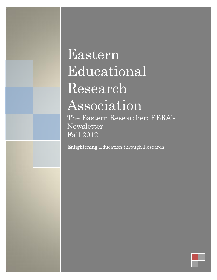# Eastern Educational Research Association

The Eastern Researcher: EERA's Newsletter Fall 2012

Enlightening Education through Research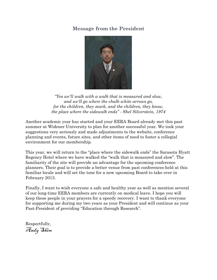## **Message from the President**



*"Yes we'll walk with a walk that is measured and slow, and we'll go where the chalk-white arrows go, for the children, they mark, and the children, they know, the place where the sidewalk ends" - Shel Silverstein, 1974*

Another academic year has started and your EERA Board already met this past summer at Widener University to plan for another successful year. We took your suggestions very seriously and made adjustments to the website, conference planning and events, future sites, and other items of need to foster a collegial environment for our membership.

This year, we will return to the "place where the sidewalk ends" the Sarasota Hyatt Regency Hotel where we have walked the "walk that is measured and slow". The familiarity of the site will provide an advantage for the upcoming conference planners. Their goal is to provide a better venue from past conferences held at this familiar locale and will set the tone for a new upcoming Board to take over in February 2013.

Finally, I want to wish everyone a safe and healthy year as well as mention several of our long-time EERA members are currently on medical leave. I hope you will keep these people in your prayers for a speedy recovery. I want to thank everyone for supporting me during my two years as your President and will continue as your Past-President of providing "Education through Research".

Respectfully, Andy Shim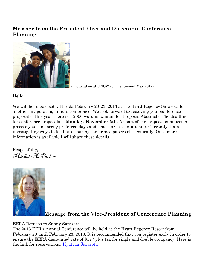## **Message from the President Elect and Director of Conference Planning**



(photo taken at UNCW commencement May 2012)

Hello,

We will be in Sarasota, Florida February 20-23, 2013 at the Hyatt Regency Sarasota for another invigorating annual conference. We look forward to receiving your conference proposals. This year there is a 2000 word maximum for Proposal Abstracts. The deadline for conference proposals is **Monday, November 5th**. As part of the proposal submission process you can specify preferred days and times for presentation(s). Currently, I am investigating ways to facilitate sharing conference papers electronically. Once more information is available I will share these details.

Respectfully, Michele A. Parker



## **Message from the Vice-President of Conference Planning**

EERA Returns to Sunny Sarasota

The 2013 EERA Annual Conference will be held at the Hyatt Regency Resort from February 20 until February 23, 2013. It is recommended that you register early in order to ensure the EERA discounted rate of \$177 plus tax for single and double occupancy. Here is the link for reservations: [Hyatt in Sarasota](https://resweb.passkey.com/go/EERAC)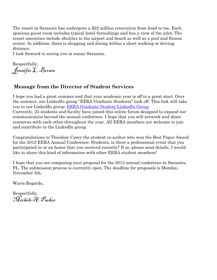The resort in Sarasota has undergone a \$22 million renovation from head to toe. Each spacious guest room includes typical hotel furnishings and has a view of the inlet. The resort amenities include shuttles to the airport and beach as well as a pool and fitness center. In addition, there is shopping and dining within a short walking or driving distance.

I look forward to seeing you in sunny Sarasota.

Respectfully, Jennifer L. Brown

## **Message from the Director of Student Services**

I hope you had a great summer and that your academic year is off to a great start. Over the summer, our LinkedIn group "EERA Graduate Students" took off. This link will take you to our LinkedIn group: [EERA Graduate Student LinkedIn Group](http://www.linkedin.com/groups?homeNewMember=&gid=4324862&trk=eml-grp-sub&ut=2eDvhUgcyp1Bs1) Currently, 25 students and faculty have joined this online forum designed to expand our communication beyond the annual conference. I hope that you will network and share resources with each other throughout the year. All EERA members are welcome to join and contribute to the LinkedIn group.

Congratulations to Theodore Carey the student co-author who won the Best Paper Award for the 2012 EERA Annual Conference. Students, is there a professional event that you participated in or an honor that you received recently? If so, please send details. I would like to share this kind of information with other EERA student members!

I hope that you are composing your proposal for the 2013 annual conference in Sarasota, FL. The submission process is currently open. The deadline for proposals is Monday, November 5th.

Warm Regards,

Respectfully, Michele A. Parker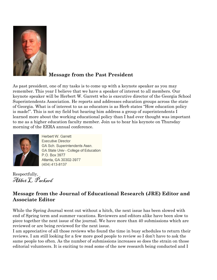

# **Message from the Past President**

As past president, one of my tasks is to come up with a keynote speaker as you may remember. This year I believe that we have a speaker of interest to all members. Our keynote speaker will be Herbert W. Garrett who is executive director of the Georgia School Superintendents Association. He reports and addresses education groups across the state of Georgia. What is of interest to us as educators is as Herb states "How education policy is made!". This is not my field but hearing him address a group of superintendents I learned more about the working educational policy than I had ever thought was important to me as a higher education faculty member. Join us to hear his keynote on Thursday morning of the EERA annual conference.



**Herbert W. Garrett Executive Director GA Sch. Superintendents Assn. GA State Univ - College of Education** P.O. Box 3977 Atlanta, GA 30302-3977  $(404)$  413-8137

Respectfully, Abbet L. Packard

## **Message from the Journal of Educational Research (JRE) Editor and Associate Editor**

While the Spring Journal went out without a hitch, the next issue has been slowed with end of Spring term and summer vacations. Reviewers and editors alike have been slow to piece together the next issue of the journal. We have more than 40 submissions which are reviewed or are being reviewed for the next issue.

I am appreciative of all those reviews who found the time in busy schedules to return their reviews. I am still looking for a few more good people to review so I don't have to ask the same people too often. As the number of submissions increases so does the strain on those editorial volunteers. It is exciting to read some of the new research being conducted and I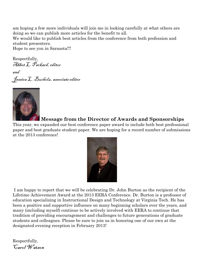am hoping a few more individuals will join me in looking carefully at what others are doing so we can publish more articles for the benefit to all.

We would like to publish best articles from the conference from both profession and student presenters.

Hope to see you in Sarasota!!!

Respectfully, Abbot L. Packard, editor

and Jessica L. Bucholz, associate editor



#### **Message from the Director of Awards and Sponsorships**

This year, we expanded our best conference paper award to include both best professional paper and best graduate student paper. We are hoping for a record number of submissions at the 2013 conference!



I am happy to report that we will be celebrating Dr. John Burton as the recipient of the Lifetime Achievement Award at the 2013 EERA Conference. Dr. Burton is a professor of education specializing in Instructional Design and Technology at Virginia Tech. He has been a positive and supportive influence on many beginning scholars over the years, and many (including myself) continue to be actively involved with EERA to continue that tradition of providing encouragement and challenges to future generations of graduate students and colleagues. Please be sure to join us in honoring one of our own at the designated evening reception in February 2013!

Respectfully, Carol Watson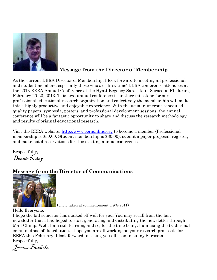

## **Message from the Director of Membership**

As the current EERA Director of Membership, I look forward to meeting all professional and student members, especially those who are 'first-time' EERA conference attendees at the 2013 EERA Annual Conference at the Hyatt Regency Sarasota in Sarasota, FL during February 20-23, 2013. This next annual conference is another milestone for our professional educational research organization and collectively the membership will make this a highly productive and enjoyable experience. With the usual numerous scheduled quality papers, symposia, posters, and professional development sessions, the annual conference will be a fantastic opportunity to share and discuss the research methodology and results of original educational research.

Visit the EERA website: [http://www.eeraonline.org](http://www.eeraonline.org/) to become a member (Professional membership is \$50.00; Student membership is \$30.00), submit a paper proposal, register, and make hotel reservations for this exciting annual conference.

Respectfully,  $\n *Dennis*  $\overline{\mathcal{K}}$ <sub>ing</sub>$ 

# **Message from the Director of Communications**



(photo taken at commencement UWG 2011)

Hello Everyone,

I hope the fall semester has started off well for you. You may recall from the last newsletter that I had hoped to start generating and distributing the newsletter through Mail Chimp. Well, I am still learning and so, for the time being, I am using the traditional email method of distribution. I hope you are all working on your research proposals for EERA this February. I look forward to seeing you all soon in sunny Sarasota. Respectfully,

Jessica Bucholz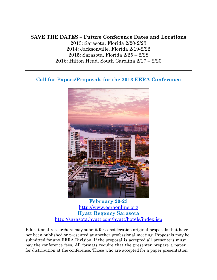#### **SAVE THE DATES – Future Conference Dates and Locations**

2013: Sarasota, Florida 2/20-2/23 2014: Jacksonville, Florida 2/19-2/22 2015: Sarasota, Florida 2/25 – 2/28 2016: Hilton Head, South Carolina 2/17 – 2/20

**Call for Papers/Proposals for the 2013 EERA Conference**



**February 20-23** [http://www.eeraonline.org](http://www.eeraonline.org/) **Hyatt Regency Sarasota** <http://sarasota.hyatt.com/hyatt/hotels/index.jsp>

Educational researchers may submit for consideration original proposals that have not been published or presented at another professional meeting. Proposals may be submitted for any EERA Division. If the proposal is accepted all presenters must pay the conference fees. All formats require that the presenter prepare a paper for distribution at the conference. Those who are accepted for a paper presentation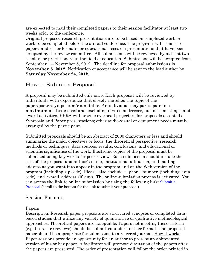are expected to mail their completed papers to their session facilitator at least two weeks prior to the conference.

Original proposed research presentations are to be based on completed work or work to be completed before the annual conference. The program will consist of papers and other formats for educational research presentations that have been accepted by the review committee. All submissions will be reviewed by at least two scholars or practitioners in the field of education. Submissions will be accepted from September 1 – November 5, 2012. The deadline for proposal submissions is **November 5, 2012**. Notification of acceptance will be sent to the lead author by **Saturday November 24, 2012**.

## How to Submit a Proposal

A proposal may be submitted only once. Each proposal will be reviewed by individuals with experience that closely matches the topic of the paper/poster/symposium/roundtable. An individual may participate in a **maximum of three sessions**, excluding invited addresses, business meetings, and award activities. EERA will provide overhead projectors for proposals accepted as Symposia and Paper presentations; other audio-visual or equipment needs must be arranged by the participant.

Submitted proposals should be an abstract of 2000 characters or less and should summarize the major objectives or focus, the theoretical perspective, research methods or techniques, data sources, results, conclusions, and educational or scientific significance of the work. Electronic copies of the proposal must be submitted using key words for peer review. Each submission should include the title of the proposal and author's name, institutional affiliation, and mailing address as you want it to appear in the program and on the Web version of the program (including zip code). Please also include a phone number (including area code) and e-mail address (if any). The online submission process is activated. You can access the link to online submission by using the following link: [Submit a](http://www.eeraonline.org/conference/)  [Proposal](http://www.eeraonline.org/conference/) (scroll to the bottom for the link to submit your proposal)

#### Session Formats

#### Papers

Description: Research paper proposals are structured synopses or completed databased studies that utilize any variety of quantitative or qualitative methodological approaches. Theoretical papers are acceptable. Papers not meeting these criteria (e.g. literature reviews) should be submitted under another format. The proposed paper should be appropriate for submission to a referred journal. How it works: Paper sessions provide an opportunity for an author to present an abbreviated version of his or her paper. A facilitator will promote discussion of the papers after the papers are presented. The order of presentation will follow the order printed in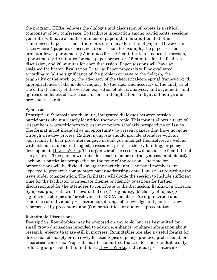the program. EERA believes the dialogue and discussion of papers is a critical component of our conference. To facilitate interaction among participants, sessions generally will have a smaller number of papers than is traditional at other conferences. Paper sessions, therefore, often have less than 4 papers. However, in cases where 4 papers are assigned to a session, for example, the paper session format allows approximately 5 minutes for the facilitator to introduce the session, approximately 10 minutes for each paper presenter, 15 minutes for the facilitated discussion, and 20 minutes for open discussion. Paper sessions will have an assigned facilitator. Evaluation Criteria: Paper proposals will be evaluated according to (a) the significance of the problem or issue to the field; (b) the originality of the work; (c) the adequacy of the theoretical/conceptual framework; (d) appropriateness of the mode of inquiry; (e) the rigor and accuracy of the analysis of the data; (f) clarity of the written exposition of ideas, analyses, and arguments; and (g) reasonableness of stated conclusions and implications in light of findings and previous research.

#### Symposia

Description: Symposia are thematic, integrated dialogues between session participants about a clearly identified theme or topic. This format allows a team of researchers or practitioners to present or review scholarly perspectives on issues. The format is not intended as an opportunity to present papers that have not gone through a review process. Rather, symposia should provide attendees with an opportunity to hear presenters engage in dialogue amongst themselves, as well as with attendees, about cutting-edge research, practice, theory building, or policy development. How it Works: The organizer of the session will act as the facilitator of the program. This person will introduce each member of the symposia and identify each one's particular perspective on the topic of the session. The time for presentations will be divided among the participants. The panel members are expected to prepare a commentary paper addressing central questions regarding the issue under consideration. The facilitator will divide the session to include sufficient time for the facilitator to integrate themes or identify questions for further discussion and for the attendees to contribute to the discussion. Evaluation Criteria: Symposia proposals will be evaluated on (a) originality; (b) clarity of topic; (c) significance of topic and/or relevance to EERA members; (d) organization and coherence of individual presentations; (e) range of knowledge and points of view represented by presenters; and (f) opportunities for audience presentation.

#### Roundtable Discussions

Description: Roundtables may be proposed on any topic, but are best suited for small group discussions intended to advance, enhance, or share information about research projects that are still in progress. Roundtables are also a useful format for discussion of sharply or narrowly focused topics of policy, practice, professional, or theoretical concerns. Proposals may be submitted that are for one roundtable only or for a group of related roundtables. How it Works: Individual presenters are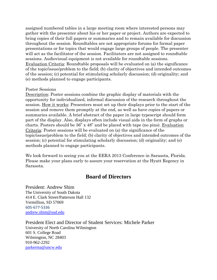assigned numbered tables in a large meeting room where interested persons may gather with the presenter about his or her paper or project. Authors are expected to bring copies of their full papers or summaries and to remain available for discussion throughout the session. Roundtables are not appropriate forums for formal paper presentations or for topics that would engage large groups of people. The presenter will act as the facilitator of the session. Facilitators are not assigned to roundtable sessions. Audiovisual equipment is not available for roundtable sessions. Evaluation Criteria: Roundtable proposals will be evaluated on (a) the significance of the topic/issue/problem to the field; (b) clarity of objectives and intended outcomes of the session; (c) potential for stimulating scholarly discussion; (d) originality; and (e) methods planned to engage participants.

#### Poster Sessions

Description: Poster sessions combine the graphic display of materials with the opportunity for individualized, informal discussion of the research throughout the session. How it works: Presenters must set up their displays prior to the start of the session and remove them promptly at the end, as well as have copies of papers or summaries available. A brief abstract of the paper in large typescript should form part of the display. Also, displays often include visual aids in the form of graphs or charts. Posters should be 36" x 48" and be placed with tape (no pins). Evaluation Criteria: Poster sessions will be evaluated on (a) the significance of the topic/issue/problem to the field; (b) clarity of objectives and intended outcomes of the session; (c) potential for stimulating scholarly discussion; (d) originality; and (e) methods planned to engage participants.

We look forward to seeing you at the EERA 2013 Conference in Sarasota, Florida. Please make your plans early to assure your reservation at the Hyatt Regency in Sarasota.

## **Board of Directors**

President: Andrew Shim The University of South Dakota 414 E. Clark Street/Patterson Hall 132 Vermillion, SD 57069 605-677-5336 [andrew.shim@usd.edu](mailto:andrew.shim@usd.edu)

President Elect and Director of Student Services: Michele Parker University of North Carolina Wilmington 601 S. College Road Wilmington, NC 28403 910-962-2292 [parkerma@uncw.edu](mailto:parkerma@uncw.edu)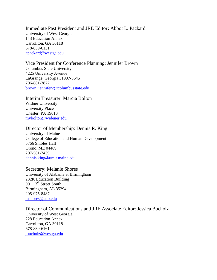Immediate Past President and JRE Editor**:** Abbot L. Packard University of West Georgia 143 Education Annex Carrollton, GA 30118 678-839-6131 [apackard@westga.edu](mailto:apackard@westga.edu)

Vice President for Conference Planning: Jennifer Brown Columbus State University 4225 University Avenue LaGrange, Georgia 31907-5645 706-881-3872 [brown\\_jennifer2@columbusstate.edu](mailto:brown_jennifer2@columbusstate.edu)

Interim Treasurer: Marcia Bolton Widner University University Place Chester, PA 19013 [mvbolton@widener.edu](mailto:mvbolton@widener.edu)

Director of Membership: Dennis R. King University of Maine College of Education and Human Development 5766 Shibles Hall Orono, ME 04469 207-581-2439 [dennis.king@umit.maine.edu](mailto:dennis.king@umit.maine.edu)

Secretary: Melanie Shores University of Alabama at Birmingham 232K Education Building 901 13<sup>th</sup> Street South Birmingham, AL 35294 205-975-8487 [mshores@uab.edu](mailto:mshores@uab.edu)

Director of Communications and JRE Associate Editor: Jessica Bucholz University of West Georgia 228 Education Annex Carrollton, GA 30118 678-839-6161 [jbucholz@westga.edu](mailto:jbucholz@westga.edu)